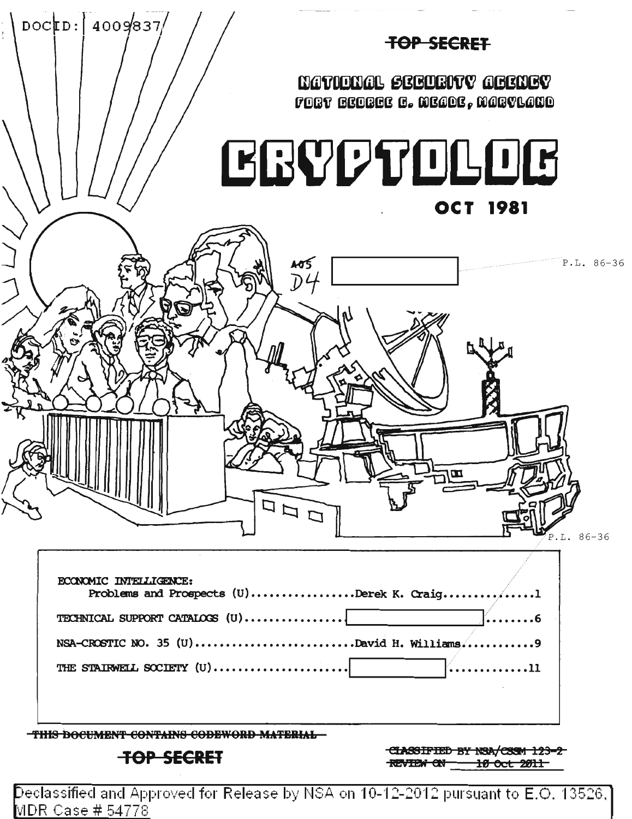

Declassified and Approved for Release by NSA on 10-12-2012 pursuant to E.O. 13526,  $\vert$ <u> MDR Case # 54778</u>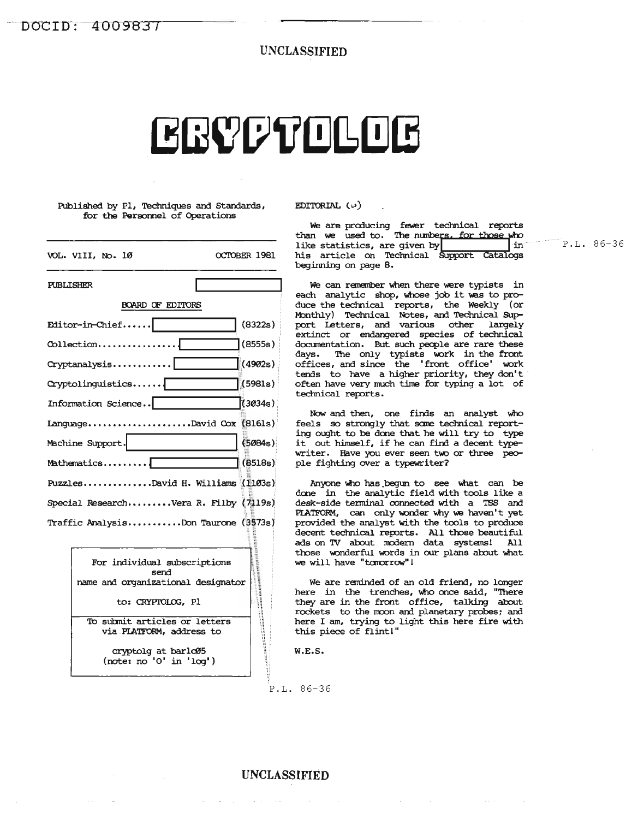UNCLASSIFIED

# CRYPTOLOG

Published by P1, Techniques and Standards, for the Personnel of Operations

| VOL. VIII, No. 10                    | OCTOBER 1981 |
|--------------------------------------|--------------|
| <b>PUBLISHER</b>                     |              |
| <b>BOARD OF EDITORS</b>              |              |
| Editor-in-Chief                      | (8322s)      |
|                                      | (8555s)      |
| Cryptanalysis                        | (4902s)      |
| Cryptolinguistics                    | (5981s)      |
| Information Science                  | (3034s)      |
| LanguageDavid Cox [8161s)            |              |
| Machine Support.                     | (5084s)      |
| $Mathematics \dots$                  | (8518s)      |
| PuzzlesDavid H. Williams (103s)      |              |
| Special ResearchVera R. Filby (月19s) |              |
| Traffic AnalysisDon Taurone (3573s)  |              |

| For individual subscriptions<br>send<br>name and organizational designator |
|----------------------------------------------------------------------------|
| to: CRYPTOLOG, Pl                                                          |
| To submit articles or letters<br>via PLATFORM, address to                  |
| cryptolg at barlc05<br>(note: no '0' in 'loq')                             |

EDITORIAL  $(\nu)$ 

We are producing fewer technical reports<br>than we used to. The numbers, for those who his article on Technical Support Catalogs like statistics, are fewer technical reports<br>"he numbe<u>rs, for those who</u><br>given by support Catalogs<br>"hnical Support Catalogs" beginning on page 8.

We can remember when there were typists in each analytic shop, whose job it was to produce the technical reports, the Weekly (or Monthly) Technical Notes, and Technical Support Letters, and various other largely extinct or endangered species of technical documentation. But such people are rare these days. The only typists work in the front offices, and since the 'front office' work tends to have a higher priority, they don't often have very much time for typing a lot of technical reports.

Now' and then, one finds an analyst who feels so strongly that some technical reporting ought to be done that he will try to type it out himself, if he can find <sup>a</sup> decent typewriter. Have you ever seen two or three people fighting over a typewriter?

Anyone who has begun to see what can be done in the analytic field with tools like a desk-side terminal connected with a TSS and PIATFORM, can only wonder why we haven't yet provided the analyst with the tools to produce decent technical reports. All those beautiful ads on TV about modern data systems! All those wonderful words in our plans about what we will have "tomorrow"!

We are reminded of an old friend, no longer here in the trenches, who once said, "There they are in the front office, talking about rockets to the moon and planetary probes; and here <sup>I</sup> am, trying to light this here fire with this piece of flint!"

W.E.S.

P.L. 86-36

P.L. 86-36

### UNCLASSIFIED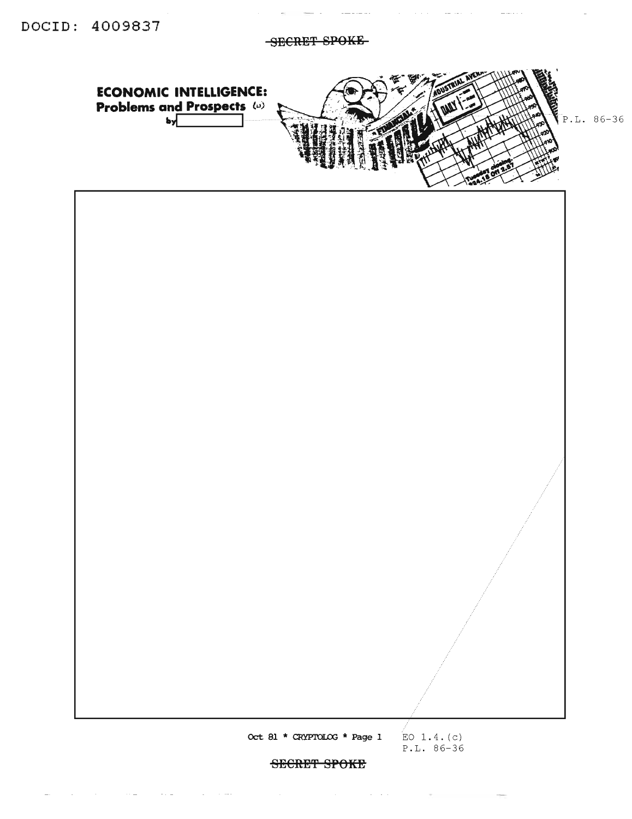**ECONOMIC INTELLIGENCE:** 

 $\omega_{\rm{eff}}=$ 

SECRET SPOKE



SECRET SPOKE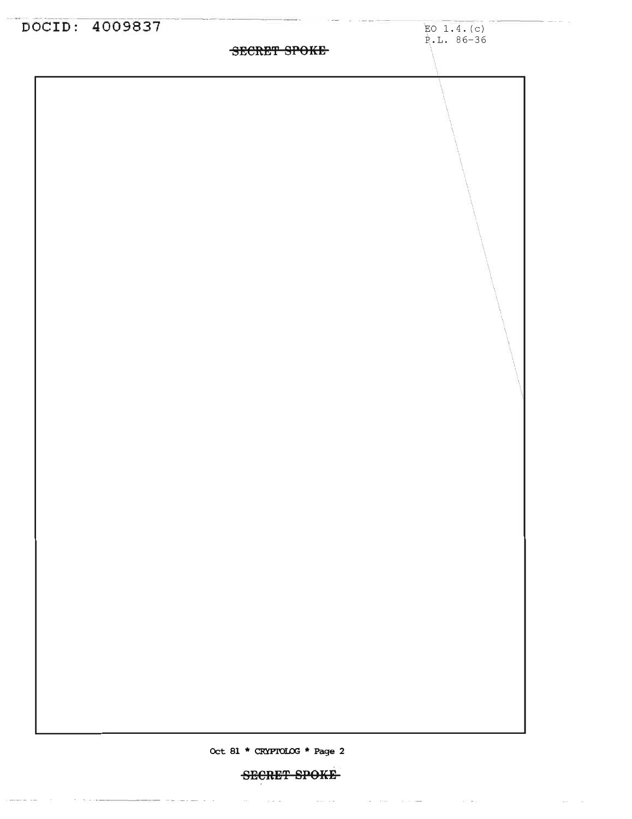

### **SECRET SPOKE**

where the contract constraints are the contracted by the contract of  $\mathcal{L}_\text{c}$ 

 $\mathcal{L}^{\mathcal{L}}(\mathcal{L}^{\mathcal{L}})$  and  $\mathcal{L}^{\mathcal{L}}(\mathcal{L}^{\mathcal{L}})$ 

 $\frac{1}{2} \left( \frac{1}{2} \left( \frac{1}{2} \left( \frac{1}{2} \left( \frac{1}{2} \left( \frac{1}{2} \left( \frac{1}{2} \left( \frac{1}{2} \left( \frac{1}{2} \right) \right) - \frac{1}{2} \left( \frac{1}{2} \left( \frac{1}{2} \left( \frac{1}{2} \right) \right) \right) \right) \right) \right) \right) - \frac{1}{2} \left( \frac{1}{2} \left( \frac{1}{2} \left( \frac{1}{2} \left( \frac{1}{2} \left( \frac{1}{2} \left( \frac{1}{2}$ 

 $\sim$   $\sim$   $\sim$   $\sim$   $\sim$ 

in a company of the second second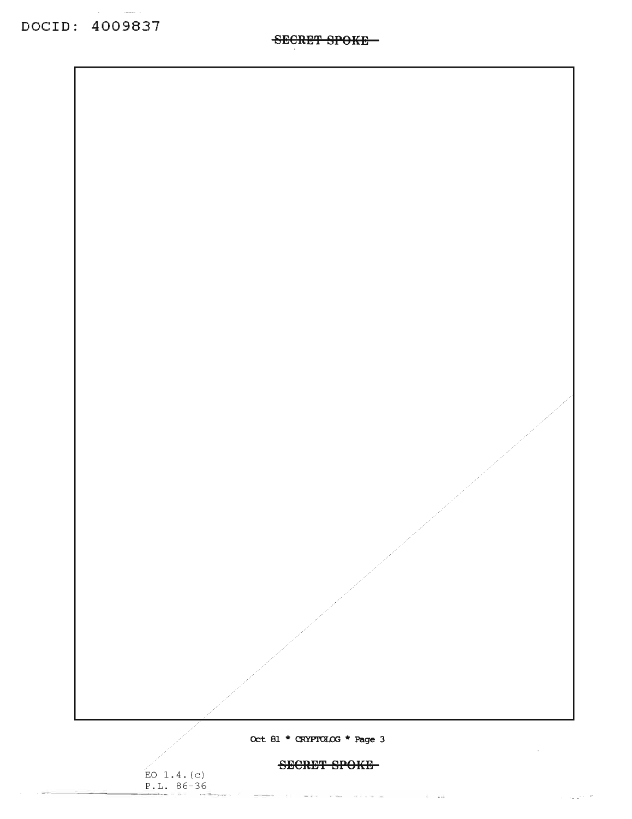DOCID: 4009837

 $---$ 

Oct 81 \* CRYPTOLOG \* Page 3

SECRET SPOKE

.<br>الله الماء المتحدة المتحدة المتحدة الماء ال

 $\sim$ 

 $\alpha = \omega_{\rm min} \omega_{\rm min}$  and

 $EO$  1.4.(c)<br>P.L. 86-36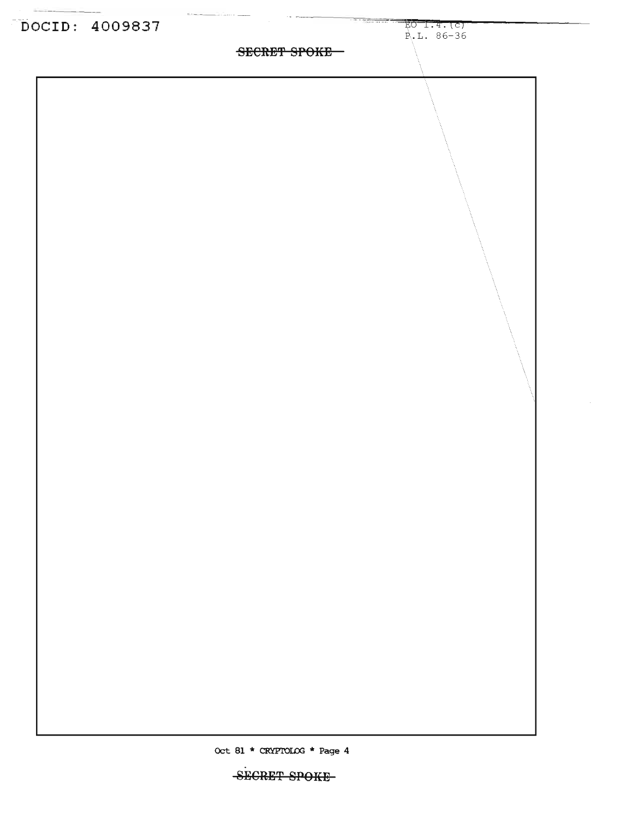

SECRET SPOKE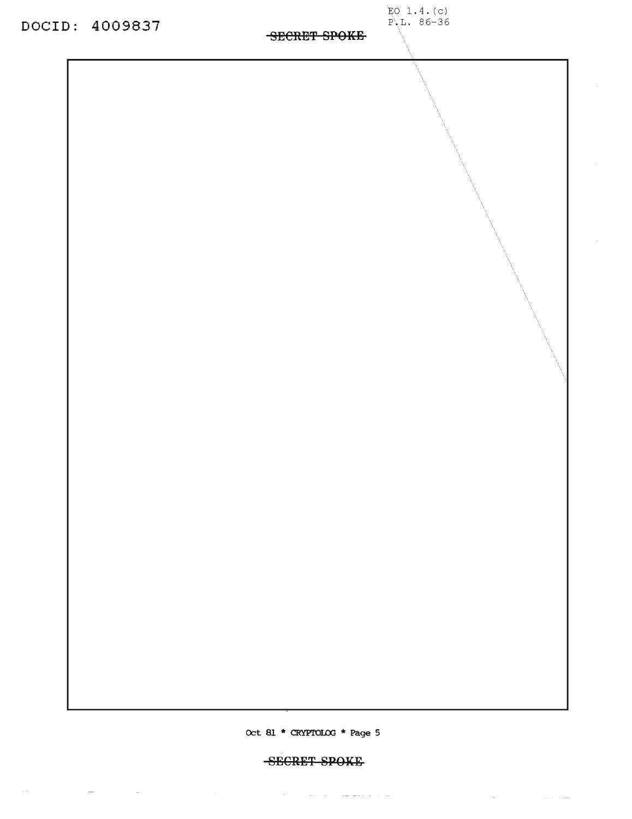DOCID: 4009837

EO 1.4. (c)<br>P.L. 86-36

Oct 81 \* CRYPTOLOG \* Page 5

SECRET SPOKE

 $\mathcal{L}_{\mathcal{A}}$  , and the set of the set of the set of the set of the set of the  $\mathcal{A}$ 

 $\mathcal{O}(\mathcal{O}(\log n))$  . The second particle is  $\mathcal{O}(\log n)$ 

 $\hspace{0.1mm}-\hspace{0.1mm}\cdot\hspace{0.1mm}$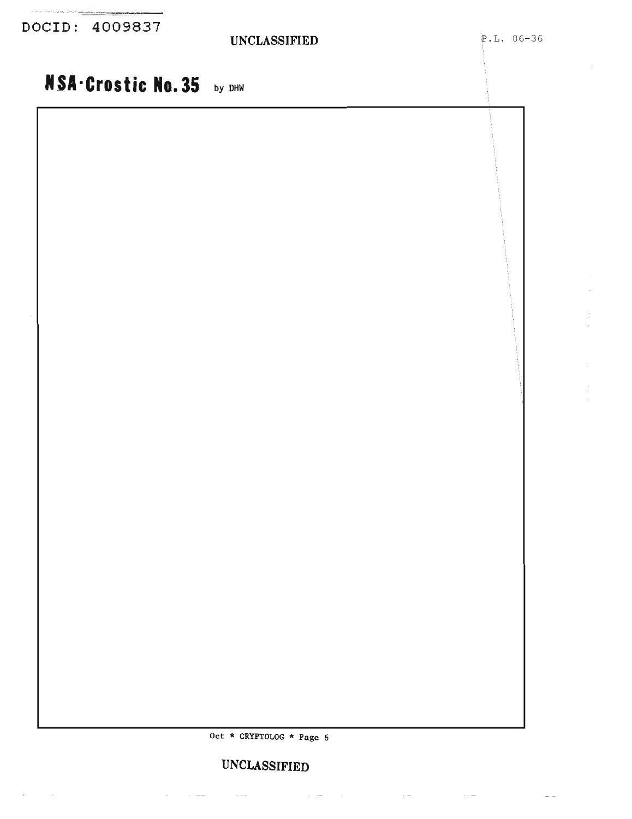DOCID: 4009837

 $\mathcal{L}^{\text{max}}$ 

 $\sim$ 

### **UNCLASSIFIED**

### **IfSA-Croslie No.35** by DHW

Oct \* CRYPTOLOG \* Page 6

### **UNCLASSIFIED**

 $\mathcal{L}^{\mathcal{A}}$  and  $\mathcal{L}^{\mathcal{A}}$  are the contribution of the contribution of  $\mathcal{L}^{\mathcal{A}}$ 

 $\sim 10^{-1}$ 

 $\sim 100$  and  $\sim 100$ 

 $\mathcal{L}_{\text{max}}$  . The company of  $\mathcal{L}_{\text{max}}$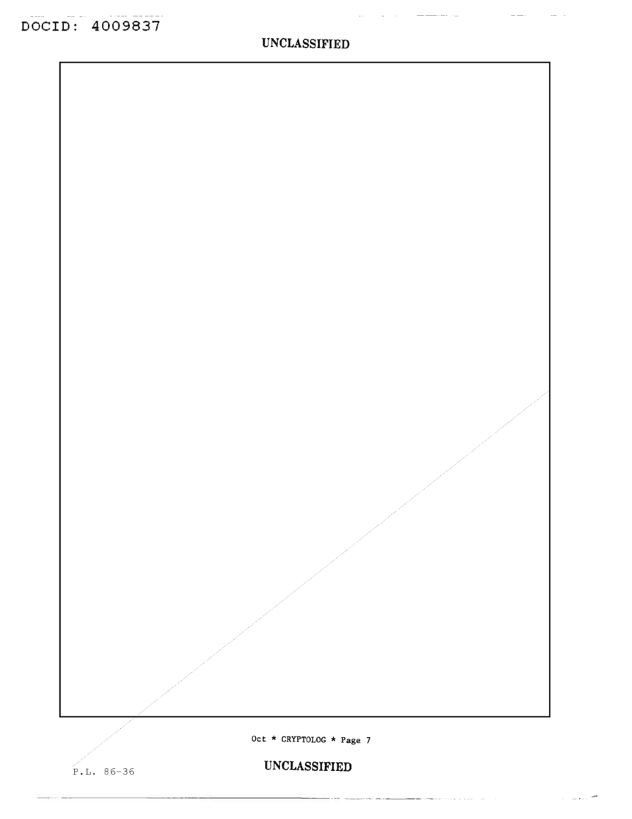$\frac{1}{2}$ 

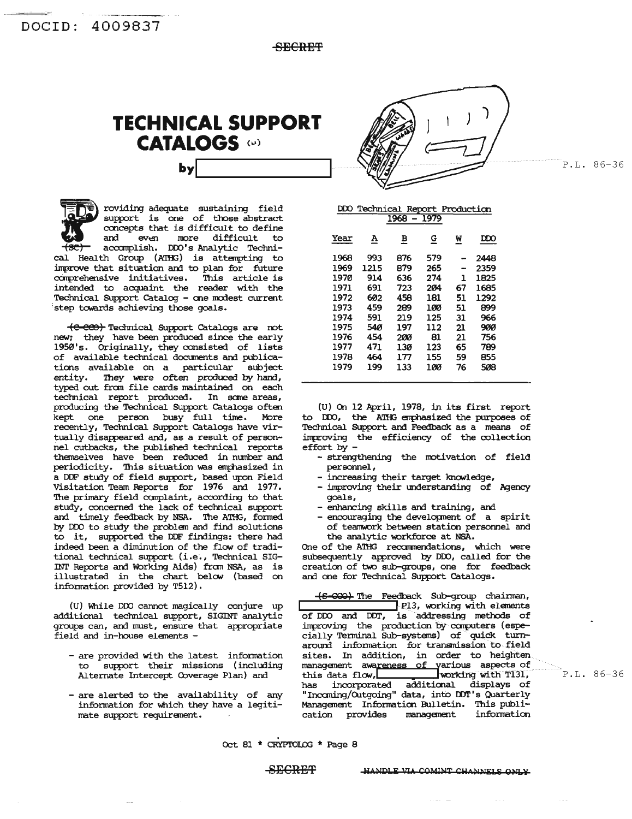SECRET



roviding adequate sustaining field<br>support is one of those abstract concepts that is difficult to define and even more difficult to accomplish. DDO's Analytic Technical Health Group (ATHG) is attempting to improve that situation and to plan for future comprehensive initiatives. This article is<br>intended to acquaint the reader with the Technical Support Catalog - one modest current step towards achieving those goals.

(e-eeo) Technical Support Catalogs are not new; they have been produced since the early 1950's. Originally, they consisted of lists of available technical documents and publications available on a particular subject entity. They were often produced by hand,<br>typed out from file cards maintained on each technical report produced. In some areas, producing the Technical Support Catalogs often kept one person busy full time. More recently, Technical Support Catalogs have virtually disappeared and, as a result of personnel cutbacks, the published technical reports themselves have been reduced in number and periodicity. This situation was emphasized in a DDF study of field support, based upon Field Visitation Team Reports for 1976 and 1977. The primary field complaint, according to that study, concerned the lack of technical support and timely feedback by NSA. The ATHG, formed by DDO to study the problem and find solutions to it, supported the DDF findings: there had indeed been a diminution of the flow of traditional technical support (i.e., Technical SIG-INT Reports and Working Aids) from NSA, as is illustrated in the chart below (based on information provided by T512).

(U) While DDO cannot magically conjure up additional technical support, SIGINT analytic groups can, and must, ensure that appropriate field and in-house elements -

- are provided with the latest information support their missions (including to. Alternate Intercept Coverage Plan) and
- are alerted to the availability of any information for which they have a legitimate support requirement.

DDO Technical Report Production<br>1968 - 1979 Year  $\underline{\mathbf{A}}$  $\overline{B}$  $\mathbf{G}$ <u>W</u>  $\overline{D}D$ 993 876 579 1968 2448 1969 1215 879 265 2359  $\overline{\phantom{a}}$ 1970 914 636 274  $\mathbf{1}$ 1825 1971 723 204 67 1685 691 1972 602 458 181 51 1292 1973 459 289 100 51 899 1974 591 219 125 966 31 1975 540 197 112 21 900 1976 454 200 21 756 81 1977 471 789  $130$ 123 65 1978 464 177 155 59 855 1979 199 133 100 76 508

(U) On 12 April, 1978, in its first report to DDO, the ATHG emphasized the purposes of Technical Support and Feedback as a means of improving the efficiency of the collection effort by  $-$ 

- -strengthening the motivation of field personnel,
- increasing their target knowledge,
- improving their understanding of Agency goals,
- enhancing skills and training, and
- encouraging the development of a spirit of teamwork between station personnel and the analytic workforce at NSA.

One of the ATHG recommendations, which were subsequently approved by DDO, called for the creation of two sub-groups, one for feedback and one for Technical Support Catalogs.

(S-COO) The Feedback Sub-group chairman, P13, working with elements<br>of DDO and DDT, is addressing methods of improving the production by computers (especially Terminal Sub-systems) of quick turnaround information for transmission to field sites. In addition, in order to heighten management awareness of various aspects of working with T131, this data flow, has incorporated additional displays of "Incoming/Outgoing" data, into DDT's Quarterly Management Information Bulletin. This publication provides management information

P.L. 86-36

P.L. 86-36

Oct 81 \* CRYPTOLOG \* Page 8

**SPCRPT** 

HANDLE VIA COMINT CHANNELS ONLY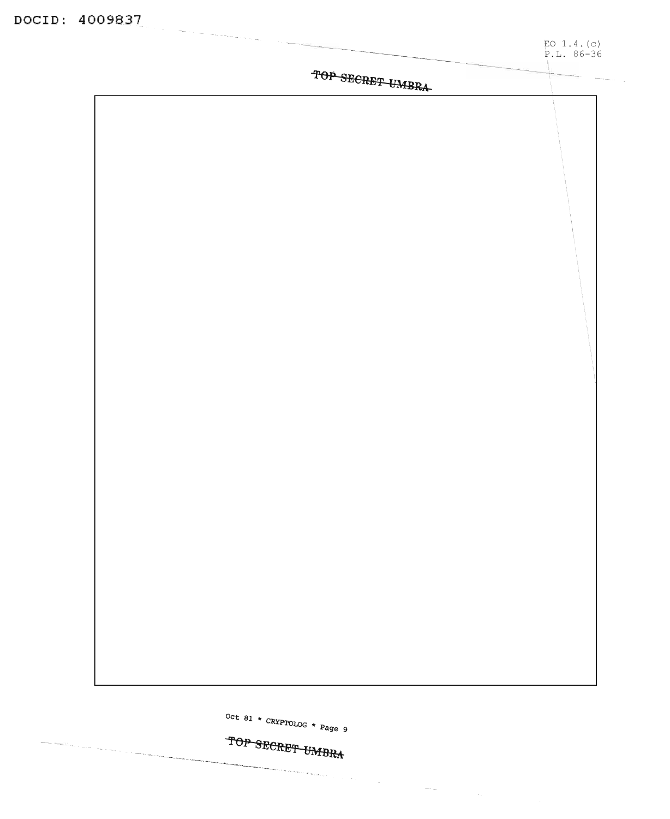|                  | EO $1.4. (c)$<br>$P.L. 86-36$ |
|------------------|-------------------------------|
| TOP SECRET UMBRA |                               |
|                  |                               |
|                  |                               |
|                  |                               |
|                  |                               |
|                  |                               |
|                  |                               |
|                  |                               |
|                  |                               |
|                  |                               |
|                  |                               |
|                  |                               |
|                  |                               |
|                  |                               |
|                  |                               |
|                  |                               |
|                  |                               |
|                  |                               |
|                  |                               |
|                  |                               |

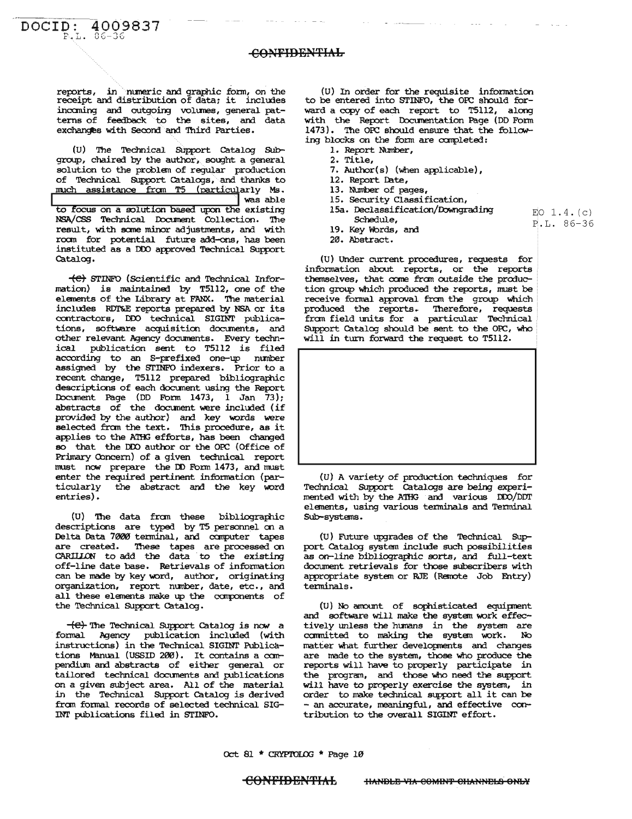reports, in numeric and graphic form, on the receipt and distribution of data; it includes incoming and outgoing volumes, general patterns of feedback to the sites, and data exchanges with Second and Third Parties.

(U) The Technical Support Catalog Subgroup, chaired by the author, sought a general solution to the problem of regular production of Technical Support Catalogs, and thanks to much assistance from T5 (particularly Ms. was able

to focus on a solution based upon the existing NSA/CSS Technical Document Collection. The result, with some minor adjustments, and with room for potential future add-ons, has been instituted as a DDO approved Technical Support Catalog.

(e) STINFO (Scientific and Technical Information) is maintained by T5112, one of the elements of the Library at FANX. The material includes RDT&E reports prepared by NSA or its contractors, DDO technical SIGINT publications, software acquisition documents, and other relevant Agency documents. Every technical publication sent to T5112 is filed according to an S-prefixed one-up number assigned by the STINFO indexers. Prior to a recent change, T5112 prepared bibliographic descriptions of each document using the Report Document Page (DD Form 1473, I Jan 73); abstracts of the document were included (if provided by the author) and key words were selected from the text. This procedure, as it applies to the ATHG efforts, has been changed so that the DDO author or the OPC (Office of Primary Concern) of a given technical report must now prepare the DD Form 1473, and must enter the required pertinent information (particularly the abstract and the key word entries).

(U) The data from these bibliographic descriptions are typed by T5 personnel on a Delta Data 7000 terminal, and computer tapes are created. These tapes are processed on<br>CARIILON to add the data to the existing off-line date base. Retrievals of information can be made by key word, author, originating organization, report number, date, etc., and all these elements make up the components of the Technical Support Catalog.

(e) The Technical Support Catalog is now a formal Agency publication included (with instructions) in the Technical SIGINT Publications Manual (USSID 200). It contains a compendium and abstracts of either general or tailored technical documents and publications on a given subject area. All of the material in the Technical Support Catalog is derived from formal records of selected technical SIG-INT publications filed in STINFO.

(U) In order for the requisite information to be entered into STINFO, the OPC should forward a copy of each report to T5112, along with the Report Documentation Page (DD Form 1473). The OPC should ensure that the following blocks on the form are completed:

- 1. Report Number,
- 2. Title,
- 7. Author(s) (when applicable),
- 12. Report Date,
- 13. Number of pages,
- 15. Security Classification,
- 15a. Declassification/Downgrading Schedule,

EO  $1.4.(c)$ 

P.L. 86-36

- 19. Key Words, and
- 20. Abstract.

(U) Under current procedures, requests for information about reports, or the reports themselves, that come from outside the production group which produced the reports, must be receive formal approval from the group which produced the reports. Therefore, requests from field units for a particular Technical Support Catalog should be sent to the OPC, who will in turn forward the request to T5112.



(U) A variety of production techniques for Technical Support Catalogs are being experimented with by the ATHG and various DDO/DDT elements, using various terminals and Terminal Sub-systems.

(U) Future upgrades of the Technical Support Catalog system include such possibilities as on-line bibliographic sorts, and full-text document retrievals for those subscribers with appropriate system or RJE (Remote Job Entry) terminals.

(U) No amount of sophisticated equipment and software will make the system work effectively unless the humans in the system are committed to making the system work. N<sub>O</sub> matter what further developments and changes are made to the system, those who produce the reports will have to properly participate in the program, and those who need the support will have to properly exercise the system, in order to make technical support all it can be - an accurate, meaningful, and effective contribution to the overall SIGINT effort.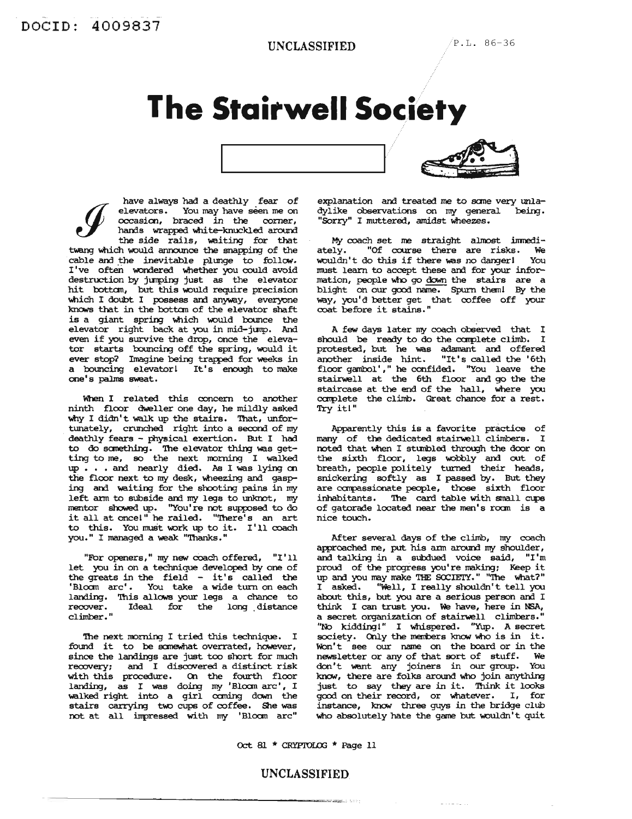## **The Stairwell Society**



have always had a deathly fear of elevators. You may have seen me on occasion, braced in the corner, hands wrapped white-knuckled around the side rails, waiting for that twang which would announce the snapping of the cable and the inevitable plunge to follow. I've often wondered whether you could avoid destruction by jumping just as the elevator hit bottom, but this would require precision which I doubt I possess and anyway, everyone knows that in the bottom of the elevator shaft is a giant spring which would bounce the elevator right back at you in mid-jump. And even if you survive the drop, once the elevator starts bouncing off the spring, would it ever stop? Imagine being trapped for weeks in a bouncing elevator! It's enough to make one's palms sweat.

When I related this concern to another ninth floor dweller one day, he mildly asked why I didn't walk up the stairs. That, unfortunately, crunched right into a second of my deathly fears - physical exertion. But I had to do something. The elevator thing was get-<br>ting to me, so the next morning I walked up...and nearly died. As I was lying on the floor next to my desk, wheezing and gasping and waiting for the shooting pains in my left arm to subside and my legs to unknot, my mentor showed up. "You're not supposed to do it all at once!" he railed. "There's an art to this. You must work up to it. I'll coach you." I managed a weak "Thanks."

"For openers," my new coach offered, "I'll let you in on a technique developed by one of the greats in the field - it's called the 'Bloom arc'. You take a wide turn on each landing. This allows your legs a chance to recover.<br>climber." Ideal for the long distance

The next morning I tried this technique. I found it to be somewhat overrated, however, since the landings are just too short for much recovery; and I discovered a distinct risk with this procedure. On the fourth floor landing, as I was doing my 'Bloom arc', I walked right into a girl coming down the stairs carrying two cups of coffee. She was not at all impressed with my 'Bloom arc"

explanation and treated me to some very unladylike observations on my general being. "Sorry" I muttered, amidst wheezes.

My coach set me straight almost immediately. "Of course there are risks. We wouldn't do this if there was no danger! You must learn to accept these and for your information, people who go down the stairs are a blight on our good name. Spurn them! By the way, you'd better get that coffee off your<br>coat before it stains."

A few days later my coach observed that I should be ready to do the complete climb. I protested, but he was adamant and offered another inside hint. "It's called the '6th floor gambol'," he confided. "You leave the stairwell at the 6th floor and go the the staircase at the end of the hall, where you complete the climb. Great chance for a rest. Try it!"

Apparently this is a favorite practice of many of the dedicated stairwell climbers. I noted that when I stumbled through the door on the sixth floor, legs wobbly and out of<br>breath, people politely turned their heads,<br>snickering softly as I passed by. But they are compassionate people, those sixth floor inhabitants. The card table with small cups of gatorade located near the men's room is a nice touch.

After several days of the climb, my coach approached me, put his arm around my shoulder, and talking in a subdued voice said, "I'm proud of the progress you're making: Keep it up and you may make THE SOCIETY." "The what?" I asked. "Well, I really shouldn't tell you about this, but you are a serious person and I think I can trust you. We have, here in NSA, a secret organization of stairwell climbers." "No kidding!" I whispered. "Yup. A secret society. Only the members know who is in it. Won't see our name on the board or in the newsletter or any of that sort of stuff. We don't want any joiners in our group. You know, there are folks around who join anything just to say they are in it. Think it looks good on their record, or whatever. I, for instance, know three guys in the bridge club who absolutely hate the game but wouldn't quit

 $\mathcal{L}^{\mathcal{A}}\left( \mathcal{A}^{\mathcal{A}}\right) =\mathcal{L}^{\mathcal{A}}\left( \mathcal{A}^{\mathcal{A}}\right) =\mathcal{A}^{\mathcal{A}}\left( \mathcal{A}^{\mathcal{A}}\right)$ 

Oct 81 \* CRYPTOLOG \* Page 11

### UNCLASSIFIED

**Andrew State**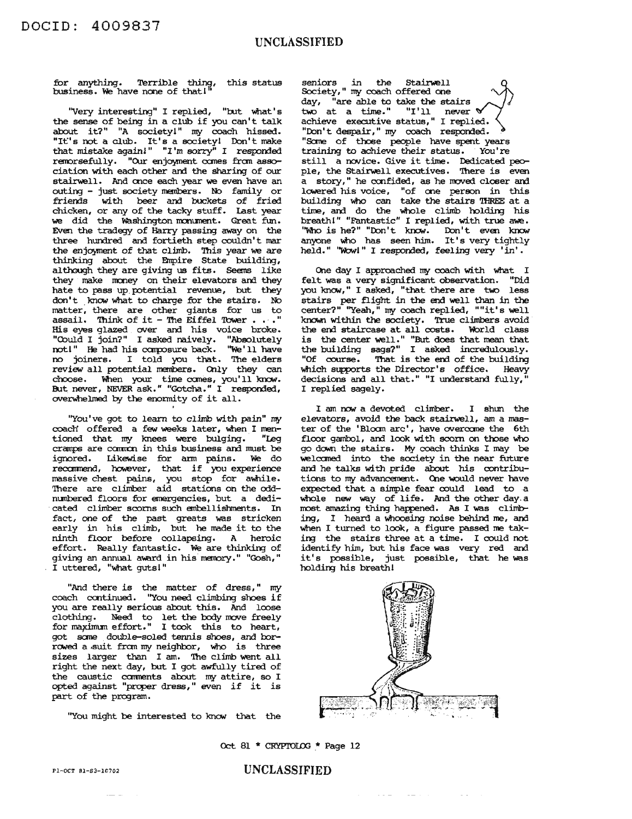for anything. Terrible thing, this status business. We have none of that!"

"Very interesting" I replied, "but what's the sense of being in <sup>a</sup> club if you can't talk about it?" "A society!" my coach hissed. "It's not a club. It's a society! Don't make that mistake again!" "I'm sorry" I responded remorsefully. "Our enjoyment comes from association with each other and the sharing of our stairwell. And once each year we even have an outing - just society members. No family or friends with beer and buckets of fried chicken, or any of the tacky stuff. last year we did the Washington monument. Great fun. Even the tradegy of Harry passing away on the three hundred and fortieth step couldn't mar the enjoyment of that climb. This year we are thinking about the Empire State building, although they are giving us fits. Seems like they make money on their elevators and they hate to pass up potential revenue, but they don't know what to charge for the stairs. No matter, there are other giants for us to assail. Think of it - The Eiffel Tower  $\ldots$ ." His eyes glazed over and his voice broke. "Chuld I join?" I asked naively. "Absolutely not!" He had his composure back. "We'll have no joiners. I told you that. The elders review all potential members. Only they can choose. When your time comes, you'll know.<br>But never, NEVER ask." "Gotcha." I responded, overwhelmed by the enormity of it all.

"You've got to learn to climb with pain" my coach offered a few weeks later, when I men-<br>tioned that mv knees were bulging. "Leg tioned that my knees were bulging. cramps are common in this business and must be ignored. Likewise for arm pains. We do<br>recommend, however, that if you experience massive chest pains, you stop for awhile. There are climber aid stations on the oddnunbered floors for emergencies, but a dedicated climber scorns such embellishments. In fact, one of the past greats was stricken early in his climb, but he made it to the ninth floor before collapsing. A heroic effort. Really fantastic. We are thinking of effort. Really familiarity. We are chinking of<br>giving an annual award in his memory." "Gosh," I uttered, "What gutsI "

"And there is the matter of dress," my And there is the matter of dress, my<br>coach continued. "You need climbing shoes if you are really serious about this. And loose clothing. Need to let the body move freely for mapmum effort." I took this to heart, got sane double-soled tennis shoes, and barrowed a suit from my neighbor, who is three sizes larger than <sup>I</sup> am. The climb went all right the next day, but I got awfully tired of the caustic ccmnents about my attire, so I opted against "prcper dress," even if it is part of the program.

"You might be interested to know that the

seniors in<br>Society," my in the Stairwell<br>seniors in the Stairwell<br>Society," my coach offered one<br>day, "are able to take the stairs day, "are able to take the stairs<br>two at a time." "I'll never  $\mathbb{V}$ achieve executive status," I replied. "Don't despair," my coach responded. "Some of those people have spent years training to achieve their status. You're still a novice. Give it time. Dedicated people, the Stairwell executives. There is even a story," he confided, as he moved closer and lowered his voice, "of one person in this building who can take the stairs 'IHREE at <sup>a</sup> time, and do the whole climb holding his breathl" "Fantastic" I replied, with true awe. "Who is he?" "Don't know. Don't even know anyone who has seen him. It's very tightly held." ''W::MI'' <sup>I</sup> responded, feeling very 'in'.

One day I approached my coach with what I felt was a very significant observation. "Did you know," I asked, "that there are two less stairs per flight in the end well than in the center?" ''Yeah,'' my coach replied, ""it's well known within the society. True climbers avoid the end staircase at all costs. World class is the center well." "But does that mean that the building sags?" I asked incredulously. "Of course. That is the end of the building which supports the Director's office. Heavy decisions and all that." "I understand fully," I replied sagely.

I am now a devoted climber. I shun the elevators, avoid the back stairwell, am a master of the 'Bloom arc', have overcome the 6th floor gambol, and look with scorn on those who go down the stairs. My coach thinks I may be welccmed into the society in the near future and he talks with pride about his contributions to my advancement. One would never have expected that a simple fear could lead to a whole new way of life. And the other day. a most amazing thing happened. As I was climbing, I heard a Whoosing noise behind me, and When I turned to look, a figure passed me taking the stairs three at <sup>a</sup> time. <sup>I</sup> could not identify him, but his face was very red and it's possible, just possible, that he was holding his breath!



Oct 81 \* CRYPTOLOG \* Page 12

#### UNCLASSIFIED